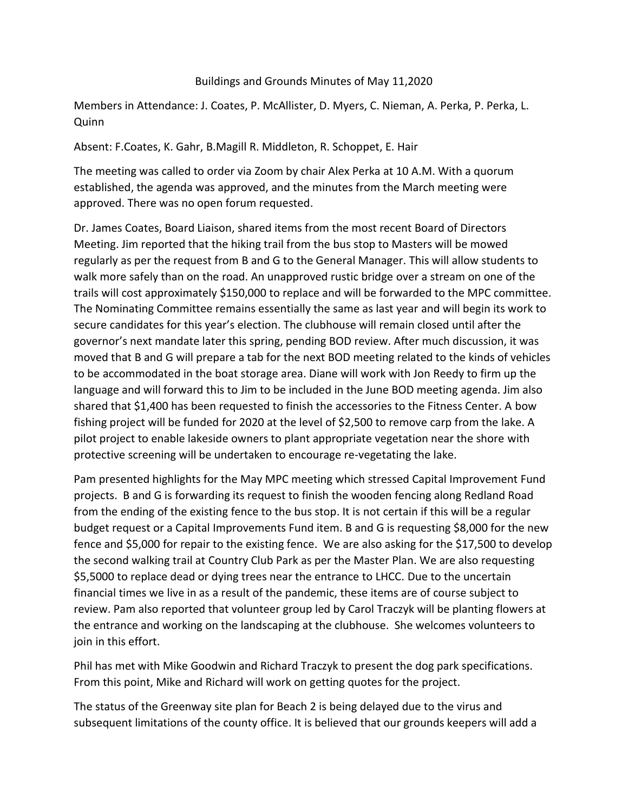#### Buildings and Grounds Minutes of May 11,2020

Members in Attendance: J. Coates, P. McAllister, D. Myers, C. Nieman, A. Perka, P. Perka, L. **Quinn** 

Absent: F.Coates, K. Gahr, B.Magill R. Middleton, R. Schoppet, E. Hair

The meeting was called to order via Zoom by chair Alex Perka at 10 A.M. With a quorum established, the agenda was approved, and the minutes from the March meeting were approved. There was no open forum requested.

Dr. James Coates, Board Liaison, shared items from the most recent Board of Directors Meeting. Jim reported that the hiking trail from the bus stop to Masters will be mowed regularly as per the request from B and G to the General Manager. This will allow students to walk more safely than on the road. An unapproved rustic bridge over a stream on one of the trails will cost approximately \$150,000 to replace and will be forwarded to the MPC committee. The Nominating Committee remains essentially the same as last year and will begin its work to secure candidates for this year's election. The clubhouse will remain closed until after the governor's next mandate later this spring, pending BOD review. After much discussion, it was moved that B and G will prepare a tab for the next BOD meeting related to the kinds of vehicles to be accommodated in the boat storage area. Diane will work with Jon Reedy to firm up the language and will forward this to Jim to be included in the June BOD meeting agenda. Jim also shared that \$1,400 has been requested to finish the accessories to the Fitness Center. A bow fishing project will be funded for 2020 at the level of \$2,500 to remove carp from the lake. A pilot project to enable lakeside owners to plant appropriate vegetation near the shore with protective screening will be undertaken to encourage re-vegetating the lake.

Pam presented highlights for the May MPC meeting which stressed Capital Improvement Fund projects. B and G is forwarding its request to finish the wooden fencing along Redland Road from the ending of the existing fence to the bus stop. It is not certain if this will be a regular budget request or a Capital Improvements Fund item. B and G is requesting \$8,000 for the new fence and \$5,000 for repair to the existing fence. We are also asking for the \$17,500 to develop the second walking trail at Country Club Park as per the Master Plan. We are also requesting \$5,5000 to replace dead or dying trees near the entrance to LHCC. Due to the uncertain financial times we live in as a result of the pandemic, these items are of course subject to review. Pam also reported that volunteer group led by Carol Traczyk will be planting flowers at the entrance and working on the landscaping at the clubhouse. She welcomes volunteers to join in this effort.

Phil has met with Mike Goodwin and Richard Traczyk to present the dog park specifications. From this point, Mike and Richard will work on getting quotes for the project.

The status of the Greenway site plan for Beach 2 is being delayed due to the virus and subsequent limitations of the county office. It is believed that our grounds keepers will add a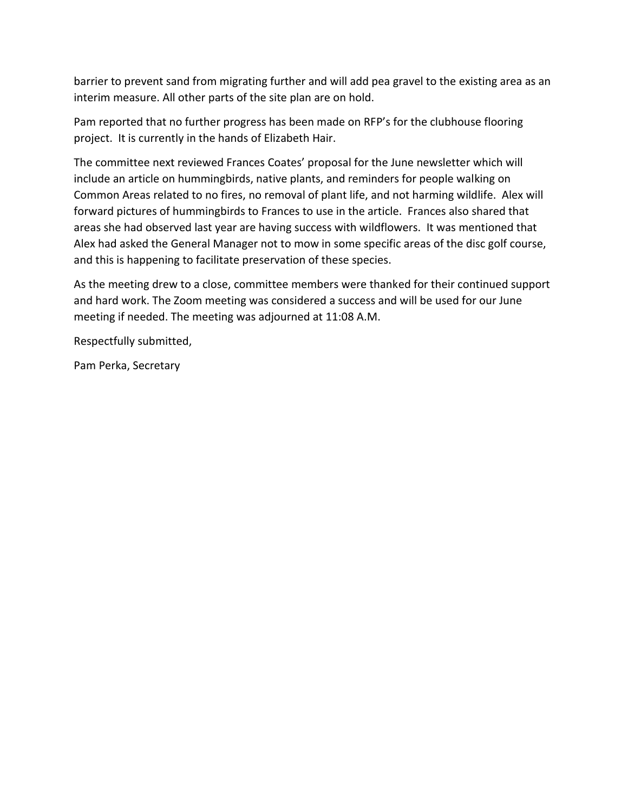barrier to prevent sand from migrating further and will add pea gravel to the existing area as an interim measure. All other parts of the site plan are on hold.

Pam reported that no further progress has been made on RFP's for the clubhouse flooring project. It is currently in the hands of Elizabeth Hair.

The committee next reviewed Frances Coates' proposal for the June newsletter which will include an article on hummingbirds, native plants, and reminders for people walking on Common Areas related to no fires, no removal of plant life, and not harming wildlife. Alex will forward pictures of hummingbirds to Frances to use in the article. Frances also shared that areas she had observed last year are having success with wildflowers. It was mentioned that Alex had asked the General Manager not to mow in some specific areas of the disc golf course, and this is happening to facilitate preservation of these species.

As the meeting drew to a close, committee members were thanked for their continued support and hard work. The Zoom meeting was considered a success and will be used for our June meeting if needed. The meeting was adjourned at 11:08 A.M.

Respectfully submitted,

Pam Perka, Secretary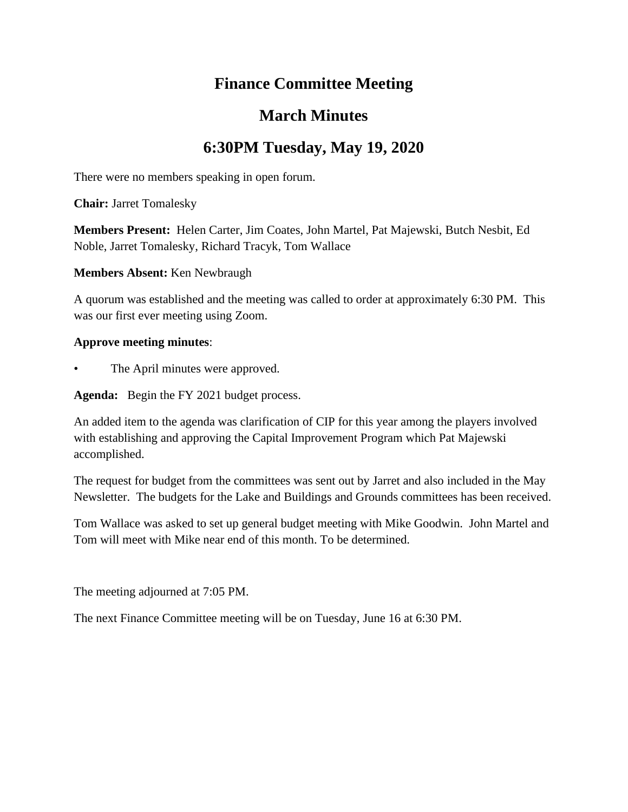# **Finance Committee Meeting**

# **March Minutes**

# **6:30PM Tuesday, May 19, 2020**

There were no members speaking in open forum.

**Chair:** Jarret Tomalesky

**Members Present:** Helen Carter, Jim Coates, John Martel, Pat Majewski, Butch Nesbit, Ed Noble, Jarret Tomalesky, Richard Tracyk, Tom Wallace

# **Members Absent:** Ken Newbraugh

A quorum was established and the meeting was called to order at approximately 6:30 PM. This was our first ever meeting using Zoom.

# **Approve meeting minutes**:

The April minutes were approved.

Agenda: Begin the FY 2021 budget process.

An added item to the agenda was clarification of CIP for this year among the players involved with establishing and approving the Capital Improvement Program which Pat Majewski accomplished.

The request for budget from the committees was sent out by Jarret and also included in the May Newsletter. The budgets for the Lake and Buildings and Grounds committees has been received.

Tom Wallace was asked to set up general budget meeting with Mike Goodwin. John Martel and Tom will meet with Mike near end of this month. To be determined.

The meeting adjourned at 7:05 PM.

The next Finance Committee meeting will be on Tuesday, June 16 at 6:30 PM.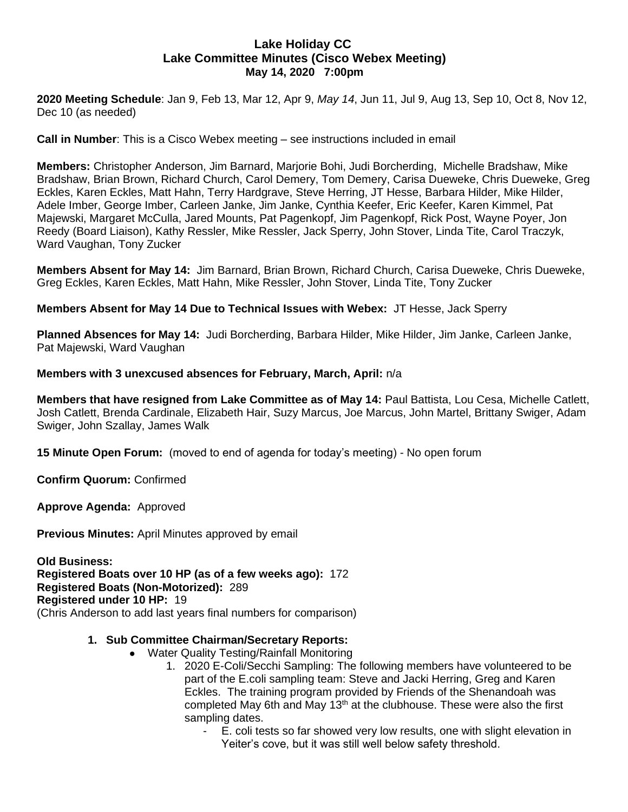## **Lake Holiday CC Lake Committee Minutes (Cisco Webex Meeting) May 14, 2020 7:00pm**

**2020 Meeting Schedule**: Jan 9, Feb 13, Mar 12, Apr 9, *May 14*, Jun 11, Jul 9, Aug 13, Sep 10, Oct 8, Nov 12, Dec 10 (as needed)

**Call in Number**: This is a Cisco Webex meeting – see instructions included in email

**Members:** Christopher Anderson, Jim Barnard, Marjorie Bohi, Judi Borcherding, Michelle Bradshaw, Mike Bradshaw, Brian Brown, Richard Church, Carol Demery, Tom Demery, Carisa Dueweke, Chris Dueweke, Greg Eckles, Karen Eckles, Matt Hahn, Terry Hardgrave, Steve Herring, JT Hesse, Barbara Hilder, Mike Hilder, Adele Imber, George Imber, Carleen Janke, Jim Janke, Cynthia Keefer, Eric Keefer, Karen Kimmel, Pat Majewski, Margaret McCulla, Jared Mounts, Pat Pagenkopf, Jim Pagenkopf, Rick Post, Wayne Poyer, Jon Reedy (Board Liaison), Kathy Ressler, Mike Ressler, Jack Sperry, John Stover, Linda Tite, Carol Traczyk, Ward Vaughan, Tony Zucker

**Members Absent for May 14:** Jim Barnard, Brian Brown, Richard Church, Carisa Dueweke, Chris Dueweke, Greg Eckles, Karen Eckles, Matt Hahn, Mike Ressler, John Stover, Linda Tite, Tony Zucker

**Members Absent for May 14 Due to Technical Issues with Webex:** JT Hesse, Jack Sperry

**Planned Absences for May 14:** Judi Borcherding, Barbara Hilder, Mike Hilder, Jim Janke, Carleen Janke, Pat Majewski, Ward Vaughan

#### **Members with 3 unexcused absences for February, March, April:** n/a

**Members that have resigned from Lake Committee as of May 14:** Paul Battista, Lou Cesa, Michelle Catlett, Josh Catlett, Brenda Cardinale, Elizabeth Hair, Suzy Marcus, Joe Marcus, John Martel, Brittany Swiger, Adam Swiger, John Szallay, James Walk

**15 Minute Open Forum:** (moved to end of agenda for today's meeting) - No open forum

**Confirm Quorum:** Confirmed

**Approve Agenda:** Approved

**Previous Minutes:** April Minutes approved by email

**Old Business: Registered Boats over 10 HP (as of a few weeks ago):** 172 **Registered Boats (Non-Motorized):** 289 **Registered under 10 HP:** 19 (Chris Anderson to add last years final numbers for comparison)

- **1. Sub Committee Chairman/Secretary Reports:**
	- Water Quality Testing/Rainfall Monitoring
		- 1. 2020 E-Coli/Secchi Sampling: The following members have volunteered to be part of the E.coli sampling team: Steve and Jacki Herring, Greg and Karen Eckles. The training program provided by Friends of the Shenandoah was completed May 6th and May 13<sup>th</sup> at the clubhouse. These were also the first sampling dates.
			- E. coli tests so far showed very low results, one with slight elevation in Yeiter's cove, but it was still well below safety threshold.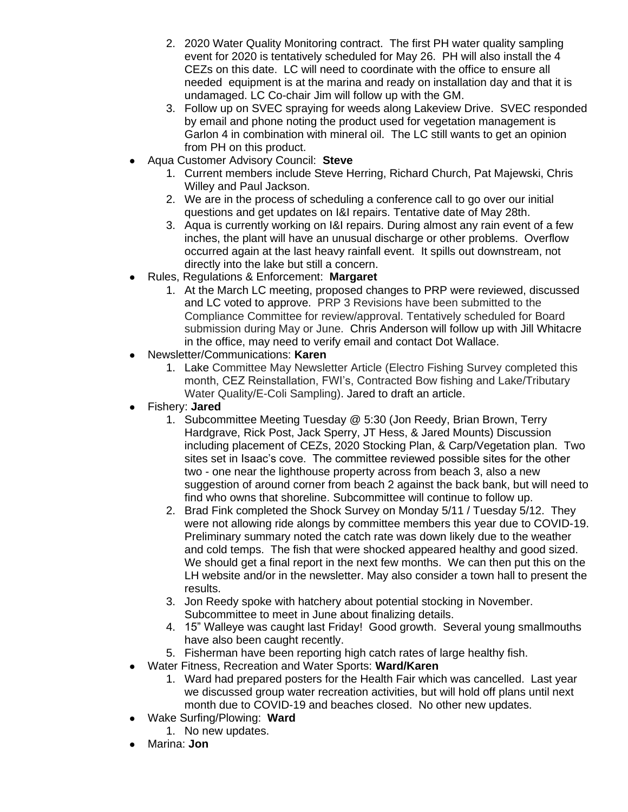- 2. 2020 Water Quality Monitoring contract. The first PH water quality sampling event for 2020 is tentatively scheduled for May 26. PH will also install the 4 CEZs on this date. LC will need to coordinate with the office to ensure all needed equipment is at the marina and ready on installation day and that it is undamaged. LC Co-chair Jim will follow up with the GM.
- 3. Follow up on SVEC spraying for weeds along Lakeview Drive. SVEC responded by email and phone noting the product used for vegetation management is Garlon 4 in combination with mineral oil. The LC still wants to get an opinion from PH on this product.
- Aqua Customer Advisory Council: **Steve**
	- 1. Current members include Steve Herring, Richard Church, Pat Majewski, Chris Willey and Paul Jackson.
	- 2. We are in the process of scheduling a conference call to go over our initial questions and get updates on I&I repairs. Tentative date of May 28th.
	- 3. Aqua is currently working on I&I repairs. During almost any rain event of a few inches, the plant will have an unusual discharge or other problems. Overflow occurred again at the last heavy rainfall event. It spills out downstream, not directly into the lake but still a concern.
- Rules, Regulations & Enforcement: **Margaret**
	- 1. At the March LC meeting, proposed changes to PRP were reviewed, discussed and LC voted to approve. PRP 3 Revisions have been submitted to the Compliance Committee for review/approval. Tentatively scheduled for Board submission during May or June. Chris Anderson will follow up with Jill Whitacre in the office, may need to verify email and contact Dot Wallace.
- Newsletter/Communications: **Karen**
	- 1. Lake Committee May Newsletter Article (Electro Fishing Survey completed this month, CEZ Reinstallation, FWI's, Contracted Bow fishing and Lake/Tributary Water Quality/E-Coli Sampling). Jared to draft an article.
- Fishery: **Jared**
	- 1. Subcommittee Meeting Tuesday @ 5:30 (Jon Reedy, Brian Brown, Terry Hardgrave, Rick Post, Jack Sperry, JT Hess, & Jared Mounts) Discussion including placement of CEZs, 2020 Stocking Plan, & Carp/Vegetation plan. Two sites set in Isaac's cove. The committee reviewed possible sites for the other two - one near the lighthouse property across from beach 3, also a new suggestion of around corner from beach 2 against the back bank, but will need to find who owns that shoreline. Subcommittee will continue to follow up.
	- 2. Brad Fink completed the Shock Survey on Monday 5/11 / Tuesday 5/12. They were not allowing ride alongs by committee members this year due to COVID-19. Preliminary summary noted the catch rate was down likely due to the weather and cold temps. The fish that were shocked appeared healthy and good sized. We should get a final report in the next few months. We can then put this on the LH website and/or in the newsletter. May also consider a town hall to present the results.
	- 3. Jon Reedy spoke with hatchery about potential stocking in November. Subcommittee to meet in June about finalizing details.
	- 4. 15" Walleye was caught last Friday! Good growth. Several young smallmouths have also been caught recently.
	- 5. Fisherman have been reporting high catch rates of large healthy fish.
- Water Fitness, Recreation and Water Sports: **Ward/Karen**
	- 1. Ward had prepared posters for the Health Fair which was cancelled. Last year we discussed group water recreation activities, but will hold off plans until next month due to COVID-19 and beaches closed. No other new updates.
- Wake Surfing/Plowing: Ward
	- 1. No new updates.
- Marina: **Jon**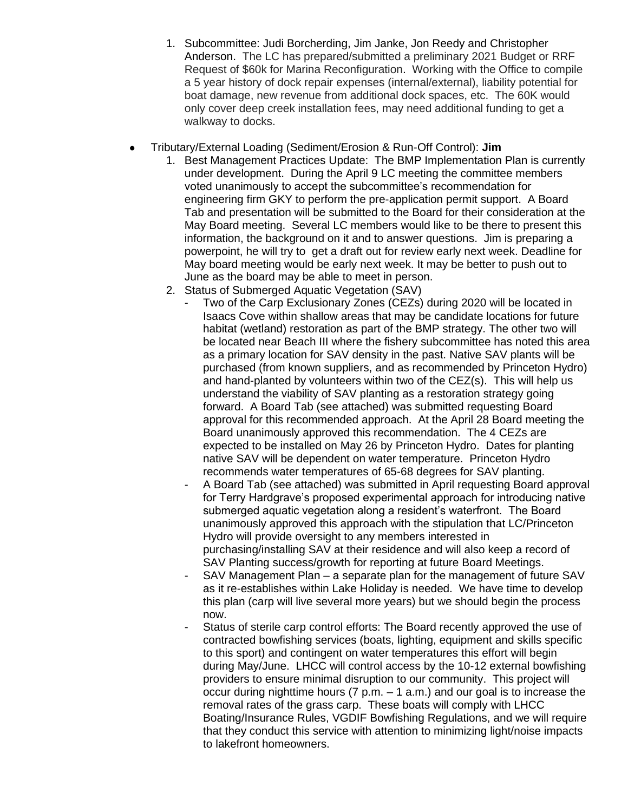- 1. Subcommittee: Judi Borcherding, Jim Janke, Jon Reedy and Christopher Anderson. The LC has prepared/submitted a preliminary 2021 Budget or RRF Request of \$60k for Marina Reconfiguration. Working with the Office to compile a 5 year history of dock repair expenses (internal/external), liability potential for boat damage, new revenue from additional dock spaces, etc. The 60K would only cover deep creek installation fees, may need additional funding to get a walkway to docks.
- Tributary/External Loading (Sediment/Erosion & Run-Off Control): **Jim**
	- 1. Best Management Practices Update: The BMP Implementation Plan is currently under development. During the April 9 LC meeting the committee members voted unanimously to accept the subcommittee's recommendation for engineering firm GKY to perform the pre-application permit support. A Board Tab and presentation will be submitted to the Board for their consideration at the May Board meeting. Several LC members would like to be there to present this information, the background on it and to answer questions. Jim is preparing a powerpoint, he will try to get a draft out for review early next week. Deadline for May board meeting would be early next week. It may be better to push out to June as the board may be able to meet in person.
	- 2. Status of Submerged Aquatic Vegetation (SAV)
		- Two of the Carp Exclusionary Zones (CEZs) during 2020 will be located in Isaacs Cove within shallow areas that may be candidate locations for future habitat (wetland) restoration as part of the BMP strategy. The other two will be located near Beach III where the fishery subcommittee has noted this area as a primary location for SAV density in the past. Native SAV plants will be purchased (from known suppliers, and as recommended by Princeton Hydro) and hand-planted by volunteers within two of the CEZ(s). This will help us understand the viability of SAV planting as a restoration strategy going forward. A Board Tab (see attached) was submitted requesting Board approval for this recommended approach. At the April 28 Board meeting the Board unanimously approved this recommendation. The 4 CEZs are expected to be installed on May 26 by Princeton Hydro. Dates for planting native SAV will be dependent on water temperature. Princeton Hydro recommends water temperatures of 65-68 degrees for SAV planting.
		- A Board Tab (see attached) was submitted in April requesting Board approval for Terry Hardgrave's proposed experimental approach for introducing native submerged aquatic vegetation along a resident's waterfront. The Board unanimously approved this approach with the stipulation that LC/Princeton Hydro will provide oversight to any members interested in purchasing/installing SAV at their residence and will also keep a record of SAV Planting success/growth for reporting at future Board Meetings.
		- SAV Management Plan a separate plan for the management of future SAV as it re-establishes within Lake Holiday is needed. We have time to develop this plan (carp will live several more years) but we should begin the process now.
		- Status of sterile carp control efforts: The Board recently approved the use of contracted bowfishing services (boats, lighting, equipment and skills specific to this sport) and contingent on water temperatures this effort will begin during May/June. LHCC will control access by the 10-12 external bowfishing providers to ensure minimal disruption to our community. This project will occur during nighttime hours (7 p.m. – 1 a.m.) and our goal is to increase the removal rates of the grass carp. These boats will comply with LHCC Boating/Insurance Rules, VGDIF Bowfishing Regulations, and we will require that they conduct this service with attention to minimizing light/noise impacts to lakefront homeowners.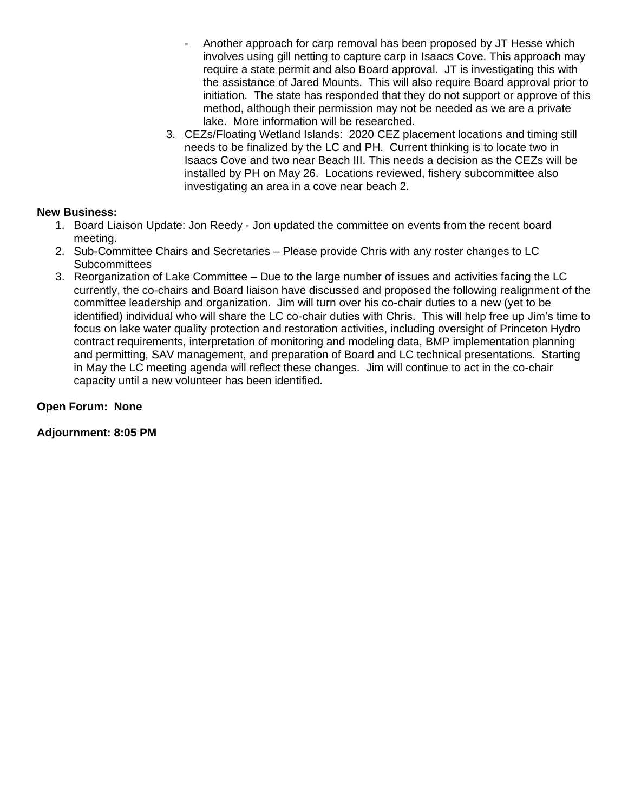- Another approach for carp removal has been proposed by JT Hesse which involves using gill netting to capture carp in Isaacs Cove. This approach may require a state permit and also Board approval. JT is investigating this with the assistance of Jared Mounts. This will also require Board approval prior to initiation. The state has responded that they do not support or approve of this method, although their permission may not be needed as we are a private lake. More information will be researched.
- 3. CEZs/Floating Wetland Islands: 2020 CEZ placement locations and timing still needs to be finalized by the LC and PH. Current thinking is to locate two in Isaacs Cove and two near Beach III. This needs a decision as the CEZs will be installed by PH on May 26. Locations reviewed, fishery subcommittee also investigating an area in a cove near beach 2.

## **New Business:**

- 1. Board Liaison Update: Jon Reedy Jon updated the committee on events from the recent board meeting.
- 2. Sub-Committee Chairs and Secretaries Please provide Chris with any roster changes to LC **Subcommittees**
- 3. Reorganization of Lake Committee Due to the large number of issues and activities facing the LC currently, the co-chairs and Board liaison have discussed and proposed the following realignment of the committee leadership and organization. Jim will turn over his co-chair duties to a new (yet to be identified) individual who will share the LC co-chair duties with Chris. This will help free up Jim's time to focus on lake water quality protection and restoration activities, including oversight of Princeton Hydro contract requirements, interpretation of monitoring and modeling data, BMP implementation planning and permitting, SAV management, and preparation of Board and LC technical presentations. Starting in May the LC meeting agenda will reflect these changes. Jim will continue to act in the co-chair capacity until a new volunteer has been identified.

# **Open Forum: None**

**Adjournment: 8:05 PM**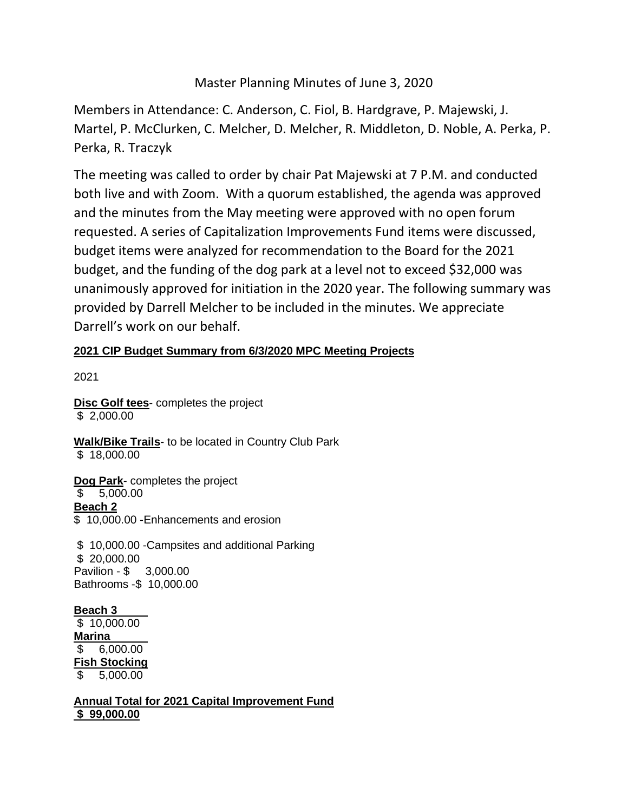# Master Planning Minutes of June 3, 2020

Members in Attendance: C. Anderson, C. Fiol, B. Hardgrave, P. Majewski, J. Martel, P. McClurken, C. Melcher, D. Melcher, R. Middleton, D. Noble, A. Perka, P. Perka, R. Traczyk

The meeting was called to order by chair Pat Majewski at 7 P.M. and conducted both live and with Zoom. With a quorum established, the agenda was approved and the minutes from the May meeting were approved with no open forum requested. A series of Capitalization Improvements Fund items were discussed, budget items were analyzed for recommendation to the Board for the 2021 budget, and the funding of the dog park at a level not to exceed \$32,000 was unanimously approved for initiation in the 2020 year. The following summary was provided by Darrell Melcher to be included in the minutes. We appreciate Darrell's work on our behalf.

# **2021 CIP Budget Summary from 6/3/2020 MPC Meeting Projects**

2021

**Disc Golf tees**- completes the project \$ 2,000.00

**Walk/Bike Trails**- to be located in Country Club Park \$ 18,000.00

**Dog Park**- completes the project \$ 5,000.00 **Beach 2** \$ 10,000.00 -Enhancements and erosion

\$ 10,000.00 -Campsites and additional Parking \$ 20,000.00 Pavilion - \$ 3,000.00 Bathrooms -\$ 10,000.00

**Beach 3** \$ 10,000.00 **Marina**  \$ 6,000.00 **Fish Stocking** \$ 5,000.00

**Annual Total for 2021 Capital Improvement Fund \$ 99,000.00**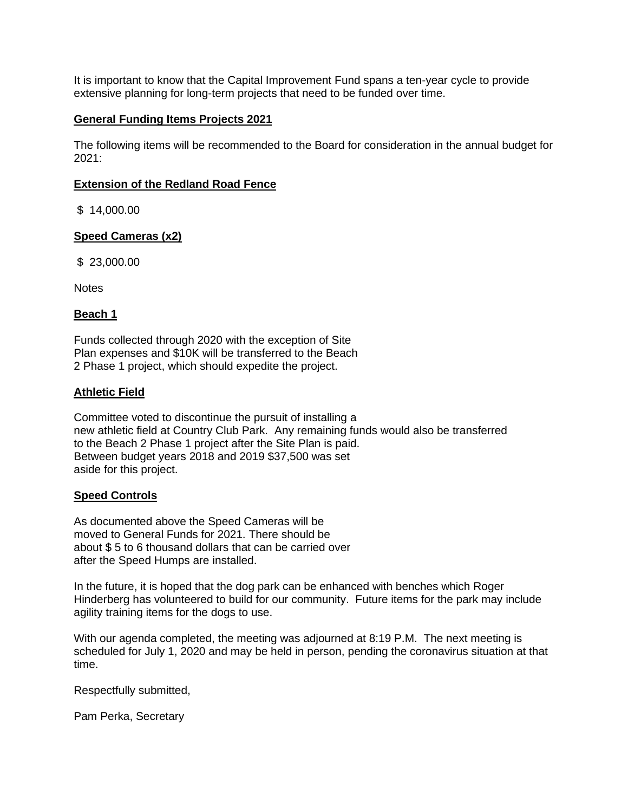It is important to know that the Capital Improvement Fund spans a ten-year cycle to provide extensive planning for long-term projects that need to be funded over time.

#### **General Funding Items Projects 2021**

The following items will be recommended to the Board for consideration in the annual budget for 2021:

#### **Extension of the Redland Road Fence**

\$ 14,000.00

#### **Speed Cameras (x2)**

\$ 23,000.00

**Notes** 

#### **Beach 1**

Funds collected through 2020 with the exception of Site Plan expenses and \$10K will be transferred to the Beach 2 Phase 1 project, which should expedite the project.

### **Athletic Field**

Committee voted to discontinue the pursuit of installing a new athletic field at Country Club Park. Any remaining funds would also be transferred to the Beach 2 Phase 1 project after the Site Plan is paid. Between budget years 2018 and 2019 \$37,500 was set aside for this project.

#### **Speed Controls**

As documented above the Speed Cameras will be moved to General Funds for 2021. There should be about \$ 5 to 6 thousand dollars that can be carried over after the Speed Humps are installed.

In the future, it is hoped that the dog park can be enhanced with benches which Roger Hinderberg has volunteered to build for our community. Future items for the park may include agility training items for the dogs to use.

With our agenda completed, the meeting was adjourned at 8:19 P.M. The next meeting is scheduled for July 1, 2020 and may be held in person, pending the coronavirus situation at that time.

Respectfully submitted,

Pam Perka, Secretary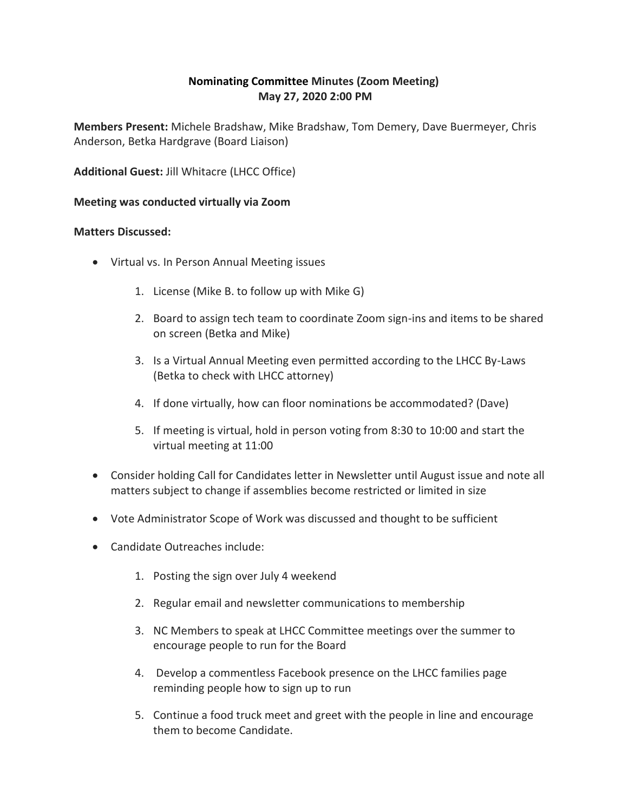# **Nominating Committee Minutes (Zoom Meeting) May 27, 2020 2:00 PM**

**Members Present:** Michele Bradshaw, Mike Bradshaw, Tom Demery, Dave Buermeyer, Chris Anderson, Betka Hardgrave (Board Liaison)

**Additional Guest:** Jill Whitacre (LHCC Office)

## **Meeting was conducted virtually via Zoom**

### **Matters Discussed:**

- Virtual vs. In Person Annual Meeting issues
	- 1. License (Mike B. to follow up with Mike G)
	- 2. Board to assign tech team to coordinate Zoom sign-ins and items to be shared on screen (Betka and Mike)
	- 3. Is a Virtual Annual Meeting even permitted according to the LHCC By-Laws (Betka to check with LHCC attorney)
	- 4. If done virtually, how can floor nominations be accommodated? (Dave)
	- 5. If meeting is virtual, hold in person voting from 8:30 to 10:00 and start the virtual meeting at 11:00
- Consider holding Call for Candidates letter in Newsletter until August issue and note all matters subject to change if assemblies become restricted or limited in size
- Vote Administrator Scope of Work was discussed and thought to be sufficient
- Candidate Outreaches include:
	- 1. Posting the sign over July 4 weekend
	- 2. Regular email and newsletter communications to membership
	- 3. NC Members to speak at LHCC Committee meetings over the summer to encourage people to run for the Board
	- 4. Develop a commentless Facebook presence on the LHCC families page reminding people how to sign up to run
	- 5. Continue a food truck meet and greet with the people in line and encourage them to become Candidate.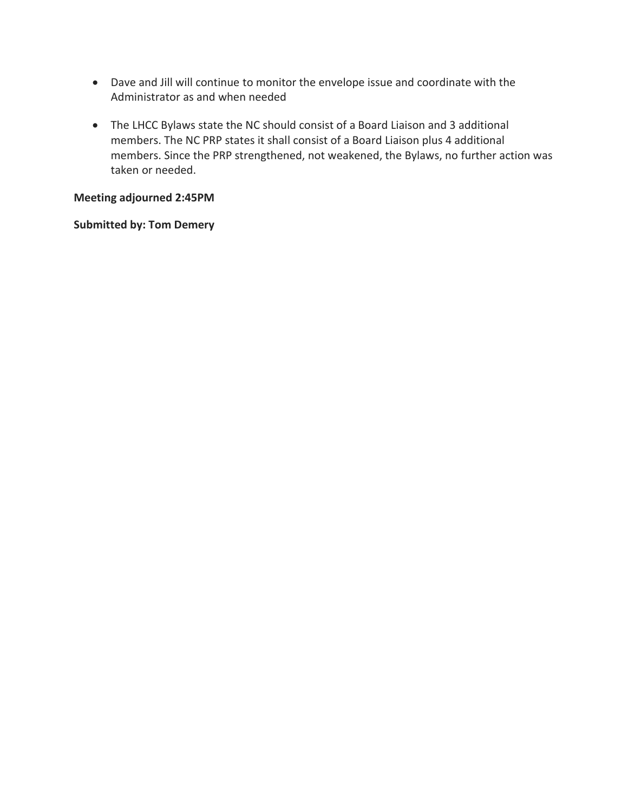- Dave and Jill will continue to monitor the envelope issue and coordinate with the Administrator as and when needed
- The LHCC Bylaws state the NC should consist of a Board Liaison and 3 additional members. The NC PRP states it shall consist of a Board Liaison plus 4 additional members. Since the PRP strengthened, not weakened, the Bylaws, no further action was taken or needed.

# **Meeting adjourned 2:45PM**

## **Submitted by: Tom Demery**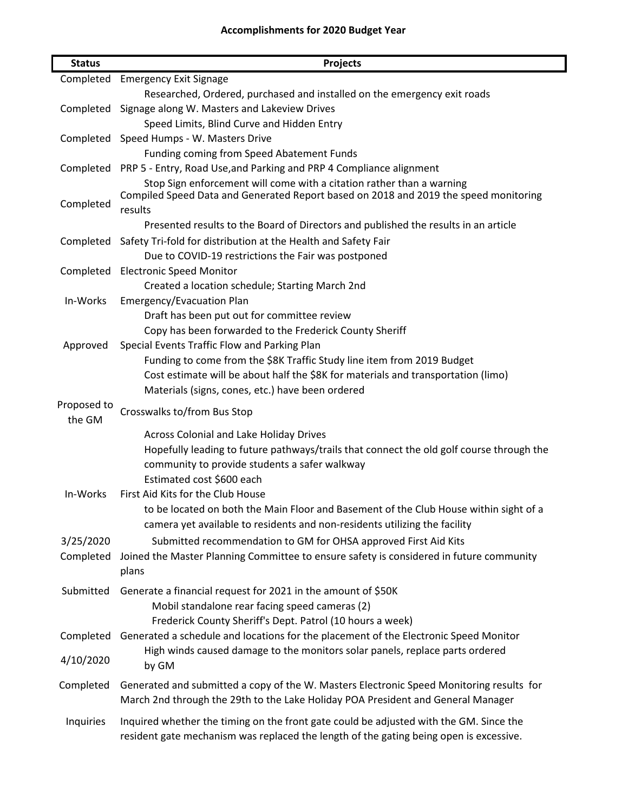| <b>Status</b>         | Projects                                                                                                                                                                                                                 |
|-----------------------|--------------------------------------------------------------------------------------------------------------------------------------------------------------------------------------------------------------------------|
| Completed             | <b>Emergency Exit Signage</b>                                                                                                                                                                                            |
|                       | Researched, Ordered, purchased and installed on the emergency exit roads                                                                                                                                                 |
|                       | Completed Signage along W. Masters and Lakeview Drives                                                                                                                                                                   |
|                       | Speed Limits, Blind Curve and Hidden Entry                                                                                                                                                                               |
|                       | Completed Speed Humps - W. Masters Drive                                                                                                                                                                                 |
|                       | Funding coming from Speed Abatement Funds                                                                                                                                                                                |
| Completed             | PRP 5 - Entry, Road Use, and Parking and PRP 4 Compliance alignment                                                                                                                                                      |
| Completed             | Stop Sign enforcement will come with a citation rather than a warning<br>Compiled Speed Data and Generated Report based on 2018 and 2019 the speed monitoring                                                            |
|                       | results<br>Presented results to the Board of Directors and published the results in an article                                                                                                                           |
|                       |                                                                                                                                                                                                                          |
|                       | Completed Safety Tri-fold for distribution at the Health and Safety Fair<br>Due to COVID-19 restrictions the Fair was postponed                                                                                          |
| Completed             | <b>Electronic Speed Monitor</b>                                                                                                                                                                                          |
|                       | Created a location schedule; Starting March 2nd                                                                                                                                                                          |
| In-Works              | Emergency/Evacuation Plan                                                                                                                                                                                                |
|                       | Draft has been put out for committee review                                                                                                                                                                              |
|                       | Copy has been forwarded to the Frederick County Sheriff                                                                                                                                                                  |
| Approved              | Special Events Traffic Flow and Parking Plan                                                                                                                                                                             |
|                       | Funding to come from the \$8K Traffic Study line item from 2019 Budget                                                                                                                                                   |
|                       | Cost estimate will be about half the \$8K for materials and transportation (limo)                                                                                                                                        |
|                       | Materials (signs, cones, etc.) have been ordered                                                                                                                                                                         |
| Proposed to<br>the GM | Crosswalks to/from Bus Stop                                                                                                                                                                                              |
|                       | <b>Across Colonial and Lake Holiday Drives</b><br>Hopefully leading to future pathways/trails that connect the old golf course through the<br>community to provide students a safer walkway<br>Estimated cost \$600 each |
| In-Works              | First Aid Kits for the Club House<br>to be located on both the Main Floor and Basement of the Club House within sight of a<br>camera yet available to residents and non-residents utilizing the facility                 |
| 3/25/2020             | Submitted recommendation to GM for OHSA approved First Aid Kits                                                                                                                                                          |
| Completed             | Joined the Master Planning Committee to ensure safety is considered in future community<br>plans                                                                                                                         |
| Submitted             | Generate a financial request for 2021 in the amount of \$50K<br>Mobil standalone rear facing speed cameras (2)<br>Frederick County Sheriff's Dept. Patrol (10 hours a week)                                              |
| Completed             | Generated a schedule and locations for the placement of the Electronic Speed Monitor                                                                                                                                     |
| 4/10/2020             | High winds caused damage to the monitors solar panels, replace parts ordered<br>by GM                                                                                                                                    |
| Completed             | Generated and submitted a copy of the W. Masters Electronic Speed Monitoring results for<br>March 2nd through the 29th to the Lake Holiday POA President and General Manager                                             |
| Inquiries             | Inquired whether the timing on the front gate could be adjusted with the GM. Since the<br>resident gate mechanism was replaced the length of the gating being open is excessive.                                         |